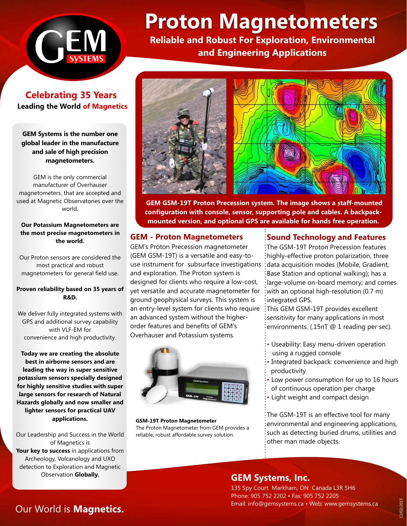

# **Proton Magnetometers**

**Reliable and Robust For Exploration, Environmental and Engineering Applications** 

**Celebrating 35 Years Leading the World of Magnetics** 

**GEM Systems is the number one global leader in the manufacture and sale of high precision magnetometers.**

GEM is the only commercial manufacturer of Overhauser magnetometers, that are accepted and used at Magnetic Observatories over the world.

#### **Our Potassium Magnetometers are the most precise magnetometers in the world.**

Our Proton sensors are considered the most practical and robust magnetometers for general field use.

#### **Proven reliability based on 35 years of R&D.**

We deliver fully integrated systems with GPS and additional survey capability with VLF-EM for convenience and high productivity.

**Today we are creating the absolute best in airborne sensors and are leading the way in super sensitive potassium sensors specially designed for highly sensitive studies with super large sensors for research of Natural Hazards globally and now smaller and lighter sensors for practical UAV applications.**

Our Leadership and Success in the World of Magnetics is **Your key to success** in applications from Archeology, Volcanology and UXO detection to Exploration and Magnetic Observation **Globally.**



 **GEM GSM-19T Proton Precession system. The image shows a staff-mounted configuration with console, sensor, supporting pole and cables. A backpackmounted version, and optional GPS are available for hands free operation.** 

## **GEM - Proton Magnetometers**

GEM's Proton Precession magnetometer (GEM GSM-19T) is a versatile and easy-touse instrument for subsurface investigations and exploration. The Proton system is designed for clients who require a low-cost, yet versatile and accurate magnetometer for ground geophysical surveys. This system is an entry-level system for clients who require an advanced system without the higherorder features and benefits of GEM's Overhauser and Potassium systems.



**GSM-19T Proton Magnetometer** The Proton Magnetometer from GEM provides a reliable, robust affordable survey solution.

## **Sound Technology and Features**

The GSM-19T Proton Precession features highly-effective proton polarization, three data acquisition modes (Mobile, Gradient, Base Station and optional walking); has a large-volume on-board memory; and comes with an optional high-resolution (0.7 m) integrated GPS.

This GEM GSM-19T provides excellent sensitivity for many applications in most environments. (.15nT @ 1 reading per sec).

- Useability: Easy menu-driven operation using a rugged console
- Integrated backpack: convenience and high productivity
- Low power consumption for up to 16 hours of continuous operation per charge
- Light weight and compact design

The GSM-19T is an effective tool for many environmental and engineering applications, such as detecting buried drums, utilities and other man made objects.

## **GEM Systems, Inc.**

135 Spy Court Markham, ON Canada L3R 5H6 Phone: 905 752 2202 • Fax: 905 752 2205 Email: info@gemsystems.ca • Web: www.gemsystems.ca

# Our World is **Magnetics.**